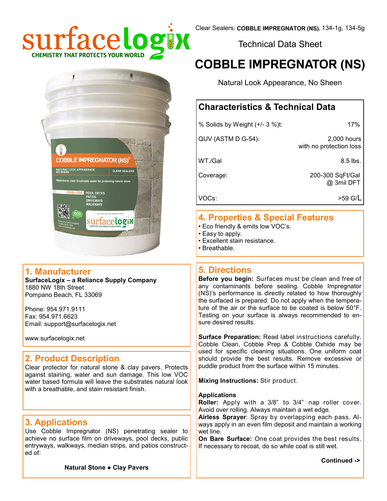

Technical Data Sheet

# **COBBLE IMPREGNATOR (NS)**

Natural Look Appearance, No Sheen

# **Characteristics & Technical Data**

| % Solids by Weight (+/- 3 %)t: | 17%                                    |  |
|--------------------------------|----------------------------------------|--|
| QUV (ASTM D G-54):             | 2,000 hours<br>with no protection loss |  |
| WT./Gal                        | $8.5$ lbs.                             |  |
| Coverage:                      | 200-300 SqFt/Gal<br>@ 3mil DFT         |  |
| VOC <sub>s</sub> :             | >59 G/L                                |  |

#### **4. Properties & Special Features**

- Eco friendly & emits low VOC's.
- Easy to apply.
- Excellent stain resistance.
- Breathable.

### **5. Directions**

**Before you begin:** Surfaces must be clean and free of any contaminants before sealing. Cobble Impregnator (NS)'s performance is directly related to how thoroughly the surfaced is prepared. Do not apply when the temperature of the air or the surface to be coated is below 50°F. Testing on your surface is always recommended to ensure desired results.

**Surface Preparation:** Read label instructions carefully. Cobble Clean, Cobble Prep & Cobble Oxhide may be used for specific cleaning situations. One uniform coat should provide the best results. Remove excessive or puddle product from the surface within 15 minutes.

**Mixing Instructions:** Stir product.

#### **Applications**

**Roller:** Apply with a 3/8" to 3/4" nap roller cover. Avoid over rolling. Always maintain a wet edge.

**Airless Sprayer**: Spray by overlapping each pass. Always apply in an even film deposit and maintain a working wet line.

**On Bare Surface:** One coat provides the best results. If necessary to recoat, do so while coat is still wet.

**Continued ->**



### **1. Manufacturer**

**SurfaceLogix – a Reliance Supply Company** 1880 NW 18th Street Pompano Beach, FL 33069

Phone: 954.971.9111 Fax: 954.971.6623 Email: support@surfacelogix.net

www.surfacelogix.net

# **2. Product Description**

Clear protector for natural stone & clay pavers. Protects against staining, water and sun damage. This low VOC water based formula will leave the substrates natural look with a breathable, and stain resistant finish.

# **3. Applications**

Use Cobble Impregnator (NS) penetrating sealer to achieve no surface film on driveways, pool decks, public entryways, walkways, median strips, and patios constructed of:

**Natural Stone ● Clay Pavers**